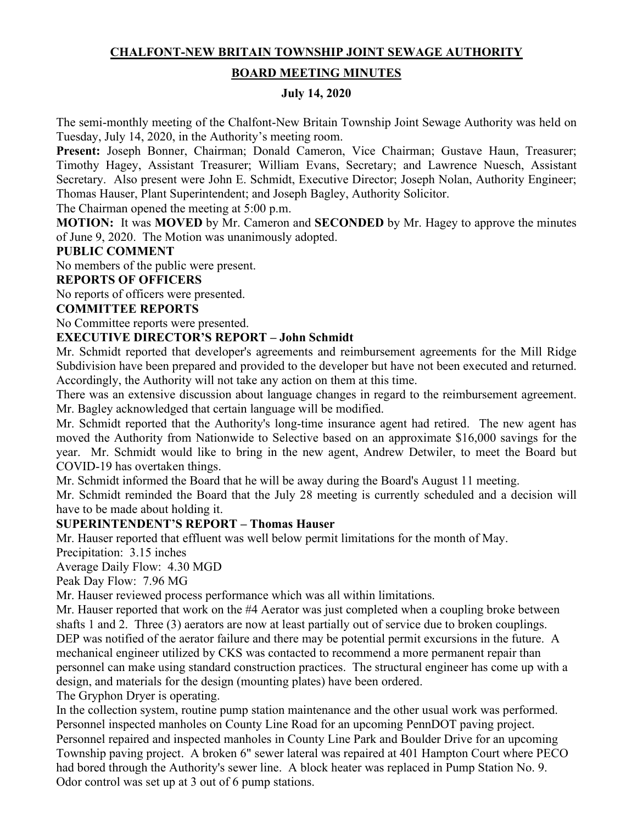## **CHALFONT-NEW BRITAIN TOWNSHIP JOINT SEWAGE AUTHORITY**

### **BOARD MEETING MINUTES**

#### **July 14, 2020**

The semi-monthly meeting of the Chalfont-New Britain Township Joint Sewage Authority was held on Tuesday, July 14, 2020, in the Authority's meeting room.

**Present:** Joseph Bonner, Chairman; Donald Cameron, Vice Chairman; Gustave Haun, Treasurer; Timothy Hagey, Assistant Treasurer; William Evans, Secretary; and Lawrence Nuesch, Assistant Secretary. Also present were John E. Schmidt, Executive Director; Joseph Nolan, Authority Engineer; Thomas Hauser, Plant Superintendent; and Joseph Bagley, Authority Solicitor.

The Chairman opened the meeting at 5:00 p.m.

**MOTION:** It was **MOVED** by Mr. Cameron and **SECONDED** by Mr. Hagey to approve the minutes of June 9, 2020. The Motion was unanimously adopted.

### **PUBLIC COMMENT**

No members of the public were present.

## **REPORTS OF OFFICERS**

No reports of officers were presented.

### **COMMITTEE REPORTS**

No Committee reports were presented.

#### **EXECUTIVE DIRECTOR'S REPORT – John Schmidt**

Mr. Schmidt reported that developer's agreements and reimbursement agreements for the Mill Ridge Subdivision have been prepared and provided to the developer but have not been executed and returned. Accordingly, the Authority will not take any action on them at this time.

There was an extensive discussion about language changes in regard to the reimbursement agreement. Mr. Bagley acknowledged that certain language will be modified.

Mr. Schmidt reported that the Authority's long-time insurance agent had retired. The new agent has moved the Authority from Nationwide to Selective based on an approximate \$16,000 savings for the year. Mr. Schmidt would like to bring in the new agent, Andrew Detwiler, to meet the Board but COVID-19 has overtaken things.

Mr. Schmidt informed the Board that he will be away during the Board's August 11 meeting.

Mr. Schmidt reminded the Board that the July 28 meeting is currently scheduled and a decision will have to be made about holding it.

#### **SUPERINTENDENT'S REPORT – Thomas Hauser**

Mr. Hauser reported that effluent was well below permit limitations for the month of May.

Precipitation: 3.15 inches

Average Daily Flow: 4.30 MGD

Peak Day Flow: 7.96 MG

Mr. Hauser reviewed process performance which was all within limitations.

Mr. Hauser reported that work on the #4 Aerator was just completed when a coupling broke between shafts 1 and 2. Three (3) aerators are now at least partially out of service due to broken couplings. DEP was notified of the aerator failure and there may be potential permit excursions in the future. A mechanical engineer utilized by CKS was contacted to recommend a more permanent repair than personnel can make using standard construction practices. The structural engineer has come up with a design, and materials for the design (mounting plates) have been ordered.

The Gryphon Dryer is operating.

In the collection system, routine pump station maintenance and the other usual work was performed. Personnel inspected manholes on County Line Road for an upcoming PennDOT paving project. Personnel repaired and inspected manholes in County Line Park and Boulder Drive for an upcoming Township paving project. A broken 6" sewer lateral was repaired at 401 Hampton Court where PECO had bored through the Authority's sewer line. A block heater was replaced in Pump Station No. 9. Odor control was set up at 3 out of 6 pump stations.